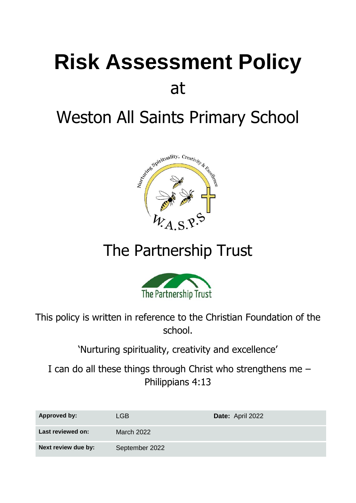# **Risk Assessment Policy** at

# Weston All Saints Primary School



## The Partnership Trust



This policy is written in reference to the Christian Foundation of the school.

'Nurturing spirituality, creativity and excellence'

I can do all these things through Christ who strengthens me – Philippians 4:13

| <b>Approved by:</b> | LGB            | Date: April 2022 |
|---------------------|----------------|------------------|
| Last reviewed on:   | March 2022     |                  |
| Next review due by: | September 2022 |                  |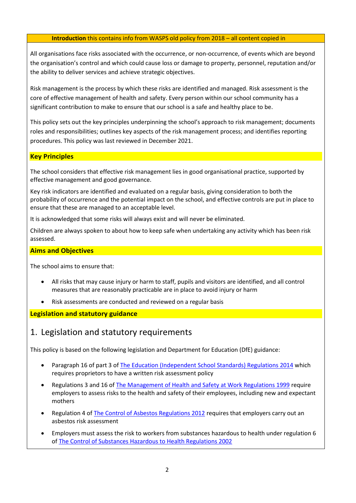#### **Introduction** this contains info from WASPS old policy from 2018 – all content copied in

All organisations face risks associated with the occurrence, or non-occurrence, of events which are beyond the organisation's control and which could cause loss or damage to property, personnel, reputation and/or the ability to deliver services and achieve strategic objectives.

Risk management is the process by which these risks are identified and managed. Risk assessment is the core of effective management of health and safety. Every person within our school community has a significant contribution to make to ensure that our school is a safe and healthy place to be.

This policy sets out the key principles underpinning the school's approach to risk management; documents roles and responsibilities; outlines key aspects of the risk management process; and identifies reporting procedures. This policy was last reviewed in December 2021.

#### **Key Principles**

The school considers that effective risk management lies in good organisational practice, supported by effective management and good governance.

Key risk indicators are identified and evaluated on a regular basis, giving consideration to both the probability of occurrence and the potential impact on the school, and effective controls are put in place to ensure that these are managed to an acceptable level.

It is acknowledged that some risks will always exist and will never be eliminated.

Children are always spoken to about how to keep safe when undertaking any activity which has been risk assessed.

#### **Aims and Objectives**

The school aims to ensure that:

- All risks that may cause injury or harm to staff, pupils and visitors are identified, and all control measures that are reasonably practicable are in place to avoid injury or harm
- Risk assessments are conducted and reviewed on a regular basis

**Legislation and statutory guidance**

#### 1. Legislation and statutory requirements

This policy is based on the following legislation and Department for Education (DfE) guidance:

- Paragraph 16 of part 3 of [The Education \(Independent School Standards\) Regulations 2014](http://www.legislation.gov.uk/uksi/2014/3283/schedule/part/3/made) which requires proprietors to have a written risk assessment policy
- Regulations 3 and 16 of [The Management of Health and Safety at Work Regulations 1999](http://www.legislation.gov.uk/uksi/1999/3242/contents/made) require employers to assess risks to the health and safety of their employees, including new and expectant mothers
- Regulation 4 of [The Control of Asbestos Regulations 2012](http://www.legislation.gov.uk/uksi/2012/632/regulation/4/made) requires that employers carry out an asbestos risk assessment
- Employers must assess the risk to workers from substances hazardous to health under regulation 6 of [The Control of Substances Hazardous to Health Regulations 2002](http://www.legislation.gov.uk/uksi/2002/2677/regulation/6/made)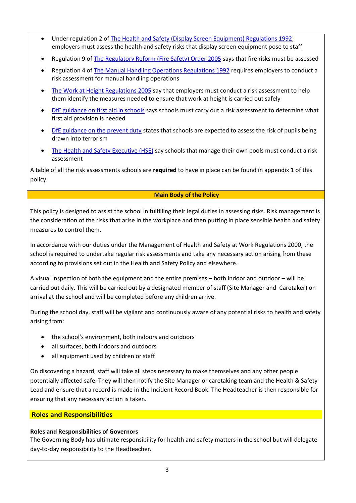- Under regulation 2 of [The Health and Safety \(Display Screen Equipment\) Regulations 1992,](http://www.legislation.gov.uk/uksi/1992/2792/regulation/2/made) employers must assess the health and safety risks that display screen equipment pose to staff
- Regulation 9 of [The Regulatory Reform \(Fire Safety\) Order 2005](http://www.legislation.gov.uk/uksi/2005/1541/article/9/made) says that fire risks must be assessed
- Regulation 4 of [The Manual Handling Operations Regulations 1992](http://www.legislation.gov.uk/uksi/1992/2793/regulation/4/made) requires employers to conduct a risk assessment for manual handling operations
- [The Work at Height Regulations 2005](http://www.legislation.gov.uk/uksi/2005/735/regulation/6/made) say that employers must conduct a risk assessment to help them identify the measures needed to ensure that work at height is carried out safely
- [DfE guidance on first aid in schools](https://www.gov.uk/government/uploads/system/uploads/attachment_data/file/306370/guidance_on_first_aid_for_schools.pdf) says schools must carry out a risk assessment to determine what first aid provision is needed
- [DfE guidance on the prevent duty](https://www.gov.uk/government/uploads/system/uploads/attachment_data/file/445977/3799_Revised_Prevent_Duty_Guidance__England_Wales_V2-Interactive.pdf) states that schools are expected to assess the risk of pupils being drawn into terrorism
- [The Health and Safety Executive \(HSE\)](http://www.hse.gov.uk/entertainment/leisure/swimming-pool.htm) say schools that manage their own pools must conduct a risk assessment

A table of all the risk assessments schools are **required** to have in place can be found in appendix 1 of this policy.

#### **Main Body of the Policy**

This policy is designed to assist the school in fulfilling their legal duties in assessing risks. Risk management is the consideration of the risks that arise in the workplace and then putting in place sensible health and safety measures to control them.

In accordance with our duties under the Management of Health and Safety at Work Regulations 2000, the school is required to undertake regular risk assessments and take any necessary action arising from these according to provisions set out in the Health and Safety Policy and elsewhere.

A visual inspection of both the equipment and the entire premises – both indoor and outdoor – will be carried out daily. This will be carried out by a designated member of staff (Site Manager and Caretaker) on arrival at the school and will be completed before any children arrive.

During the school day, staff will be vigilant and continuously aware of any potential risks to health and safety arising from:

- the school's environment, both indoors and outdoors
- all surfaces, both indoors and outdoors
- all equipment used by children or staff

On discovering a hazard, staff will take all steps necessary to make themselves and any other people potentially affected safe. They will then notify the Site Manager or caretaking team and the Health & Safety Lead and ensure that a record is made in the Incident Record Book. The Headteacher is then responsible for ensuring that any necessary action is taken.

#### **Roles and Responsibilities**

#### **Roles and Responsibilities of Governors**

The Governing Body has ultimate responsibility for health and safety matters in the school but will delegate day-to-day responsibility to the Headteacher.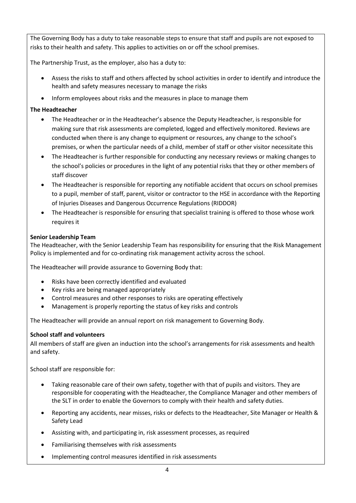The Governing Body has a duty to take reasonable steps to ensure that staff and pupils are not exposed to risks to their health and safety. This applies to activities on or off the school premises.

The Partnership Trust, as the employer, also has a duty to:

- Assess the risks to staff and others affected by school activities in order to identify and introduce the health and safety measures necessary to manage the risks
- Inform employees about risks and the measures in place to manage them

#### **The Headteacher**

- The Headteacher or in the Headteacher's absence the Deputy Headteacher, is responsible for making sure that risk assessments are completed, logged and effectively monitored. Reviews are conducted when there is any change to equipment or resources, any change to the school's premises, or when the particular needs of a child, member of staff or other visitor necessitate this
- The Headteacher is further responsible for conducting any necessary reviews or making changes to the school's policies or procedures in the light of any potential risks that they or other members of staff discover
- The Headteacher is responsible for reporting any notifiable accident that occurs on school premises to a pupil, member of staff, parent, visitor or contractor to the HSE in accordance with the Reporting of Injuries Diseases and Dangerous Occurrence Regulations (RIDDOR)
- The Headteacher is responsible for ensuring that specialist training is offered to those whose work requires it

#### **Senior Leadership Team**

The Headteacher, with the Senior Leadership Team has responsibility for ensuring that the Risk Management Policy is implemented and for co-ordinating risk management activity across the school.

The Headteacher will provide assurance to Governing Body that:

- Risks have been correctly identified and evaluated
- Key risks are being managed appropriately
- Control measures and other responses to risks are operating effectively
- Management is properly reporting the status of key risks and controls

The Headteacher will provide an annual report on risk management to Governing Body.

#### **School staff and volunteers**

All members of staff are given an induction into the school's arrangements for risk assessments and health and safety.

School staff are responsible for:

- Taking reasonable care of their own safety, together with that of pupils and visitors. They are responsible for cooperating with the Headteacher, the Compliance Manager and other members of the SLT in order to enable the Governors to comply with their health and safety duties.
- Reporting any accidents, near misses, risks or defects to the Headteacher, Site Manager or Health & Safety Lead
- Assisting with, and participating in, risk assessment processes, as required
- Familiarising themselves with risk assessments
- Implementing control measures identified in risk assessments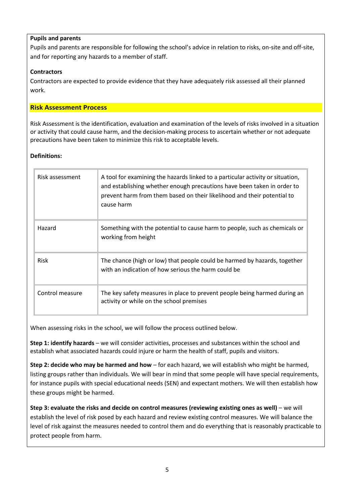#### **Pupils and parents**

Pupils and parents are responsible for following the school's advice in relation to risks, on-site and off-site, and for reporting any hazards to a member of staff.

#### **Contractors**

Contractors are expected to provide evidence that they have adequately risk assessed all their planned work.

#### **Risk Assessment Process**

Risk Assessment is the identification, evaluation and examination of the levels of risks involved in a situation or activity that could cause harm, and the decision-making process to ascertain whether or not adequate precautions have been taken to minimize this risk to acceptable levels.

#### **Definitions:**

| Risk assessment | A tool for examining the hazards linked to a particular activity or situation,<br>and establishing whether enough precautions have been taken in order to<br>prevent harm from them based on their likelihood and their potential to<br>cause harm |
|-----------------|----------------------------------------------------------------------------------------------------------------------------------------------------------------------------------------------------------------------------------------------------|
| Hazard          | Something with the potential to cause harm to people, such as chemicals or<br>working from height                                                                                                                                                  |
| <b>Risk</b>     | The chance (high or low) that people could be harmed by hazards, together<br>with an indication of how serious the harm could be                                                                                                                   |
| Control measure | The key safety measures in place to prevent people being harmed during an<br>activity or while on the school premises                                                                                                                              |

When assessing risks in the school, we will follow the process outlined below.

**Step 1: identify hazards** – we will consider activities, processes and substances within the school and establish what associated hazards could injure or harm the health of staff, pupils and visitors.

**Step 2: decide who may be harmed and how** – for each hazard, we will establish who might be harmed, listing groups rather than individuals. We will bear in mind that some people will have special requirements, for instance pupils with special educational needs (SEN) and expectant mothers. We will then establish how these groups might be harmed.

**Step 3: evaluate the risks and decide on control measures (reviewing existing ones as well)** – we will establish the level of risk posed by each hazard and review existing control measures. We will balance the level of risk against the measures needed to control them and do everything that is reasonably practicable to protect people from harm.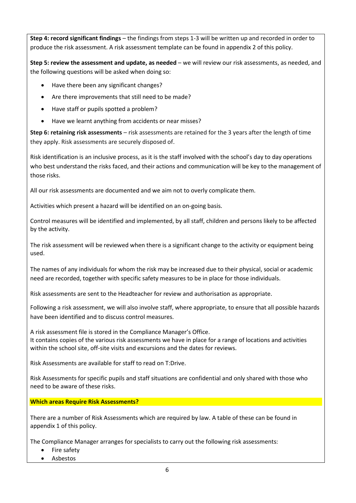**Step 4: record significant findings** – the findings from steps 1-3 will be written up and recorded in order to produce the risk assessment. A risk assessment template can be found in appendix 2 of this policy.

**Step 5: review the assessment and update, as needed** – we will review our risk assessments, as needed, and the following questions will be asked when doing so:

- Have there been any significant changes?
- Are there improvements that still need to be made?
- Have staff or pupils spotted a problem?
- Have we learnt anything from accidents or near misses?

**Step 6: retaining risk assessments** – risk assessments are retained for the 3 years after the length of time they apply. Risk assessments are securely disposed of.

Risk identification is an inclusive process, as it is the staff involved with the school's day to day operations who best understand the risks faced, and their actions and communication will be key to the management of those risks.

All our risk assessments are documented and we aim not to overly complicate them.

Activities which present a hazard will be identified on an on-going basis.

Control measures will be identified and implemented, by all staff, children and persons likely to be affected by the activity.

The risk assessment will be reviewed when there is a significant change to the activity or equipment being used.

The names of any individuals for whom the risk may be increased due to their physical, social or academic need are recorded, together with specific safety measures to be in place for those individuals.

Risk assessments are sent to the Headteacher for review and authorisation as appropriate.

Following a risk assessment, we will also involve staff, where appropriate, to ensure that all possible hazards have been identified and to discuss control measures.

A risk assessment file is stored in the Compliance Manager's Office. It contains copies of the various risk assessments we have in place for a range of locations and activities within the school site, off-site visits and excursions and the dates for reviews.

Risk Assessments are available for staff to read on T:Drive.

Risk Assessments for specific pupils and staff situations are confidential and only shared with those who need to be aware of these risks.

**Which areas Require Risk Assessments?**

There are a number of Risk Assessments which are required by law. A table of these can be found in appendix 1 of this policy.

The Compliance Manager arranges for specialists to carry out the following risk assessments:

- Fire safety
- Asbestos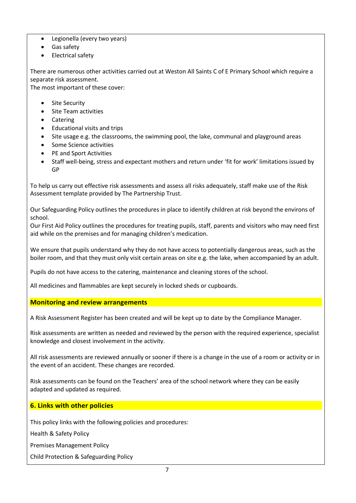- Legionella (every two years)
- Gas safety
- Electrical safety

There are numerous other activities carried out at Weston All Saints C of E Primary School which require a separate risk assessment.

The most important of these cover:

- **Site Security**
- Site Team activities
- Catering
- Educational visits and trips
- Site usage e.g. the classrooms, the swimming pool, the lake, communal and playground areas
- Some Science activities
- PE and Sport Activities
- Staff well-being, stress and expectant mothers and return under 'fit for work' limitations issued by GP

To help us carry out effective risk assessments and assess all risks adequately, staff make use of the Risk Assessment template provided by The Partnership Trust.

Our Safeguarding Policy outlines the procedures in place to identify children at risk beyond the environs of school.

Our First Aid Policy outlines the procedures for treating pupils, staff, parents and visitors who may need first aid while on the premises and for managing children's medication.

We ensure that pupils understand why they do not have access to potentially dangerous areas, such as the boiler room, and that they must only visit certain areas on site e.g. the lake, when accompanied by an adult.

Pupils do not have access to the catering, maintenance and cleaning stores of the school.

All medicines and flammables are kept securely in locked sheds or cupboards.

#### **Monitoring and review arrangements**

A Risk Assessment Register has been created and will be kept up to date by the Compliance Manager.

Risk assessments are written as needed and reviewed by the person with the required experience, specialist knowledge and closest involvement in the activity.

All risk assessments are reviewed annually or sooner if there is a change in the use of a room or activity or in the event of an accident. These changes are recorded.

Risk assessments can be found on the Teachers' area of the school network where they can be easily adapted and updated as required.

#### **6. Links with other policies**

This policy links with the following policies and procedures:

Health & Safety Policy

Premises Management Policy

Child Protection & Safeguarding Policy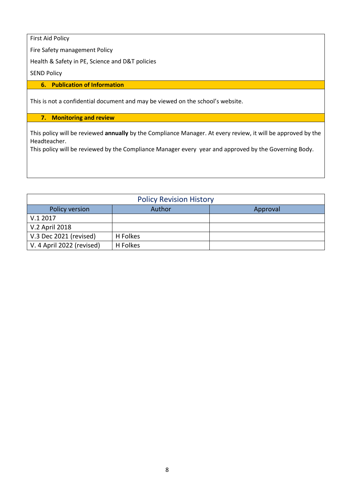First Aid Policy

Fire Safety management Policy

Health & Safety in PE, Science and D&T policies

SEND Policy

#### **6. Publication of Information**

This is not a confidential document and may be viewed on the school's website.

#### **7. Monitoring and review**

This policy will be reviewed **annually** by the Compliance Manager. At every review, it will be approved by the Headteacher.

This policy will be reviewed by the Compliance Manager every year and approved by the Governing Body.

| <b>Policy Revision History</b> |          |          |  |  |  |  |  |
|--------------------------------|----------|----------|--|--|--|--|--|
| Policy version                 | Author   | Approval |  |  |  |  |  |
| V.12017                        |          |          |  |  |  |  |  |
| V.2 April 2018                 |          |          |  |  |  |  |  |
| V.3 Dec 2021 (revised)         | H Folkes |          |  |  |  |  |  |
| V. 4 April 2022 (revised)      | H Folkes |          |  |  |  |  |  |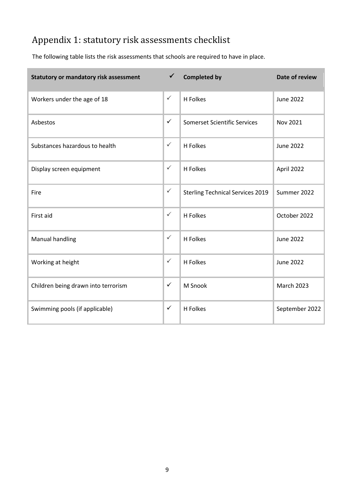### Appendix 1: statutory risk assessments checklist

The following table lists the risk assessments that schools are required to have in place.

| <b>Statutory or mandatory risk assessment</b> | $\checkmark$ | <b>Completed by</b>                     | Date of review    |  |
|-----------------------------------------------|--------------|-----------------------------------------|-------------------|--|
| $\checkmark$<br>Workers under the age of 18   |              | H Folkes                                | <b>June 2022</b>  |  |
| Asbestos                                      |              | Somerset Scientific Services            | Nov 2021          |  |
| Substances hazardous to health                |              | H Folkes                                | <b>June 2022</b>  |  |
| Display screen equipment                      |              | H Folkes                                | April 2022        |  |
| Fire                                          |              | <b>Sterling Technical Services 2019</b> | Summer 2022       |  |
| First aid                                     | $\checkmark$ | H Folkes                                | October 2022      |  |
| <b>Manual handling</b>                        | $\checkmark$ | H Folkes                                | <b>June 2022</b>  |  |
| Working at height                             | $\checkmark$ | H Folkes                                | <b>June 2022</b>  |  |
| Children being drawn into terrorism           |              | M Snook                                 | <b>March 2023</b> |  |
| Swimming pools (if applicable)                |              | H Folkes                                | September 2022    |  |